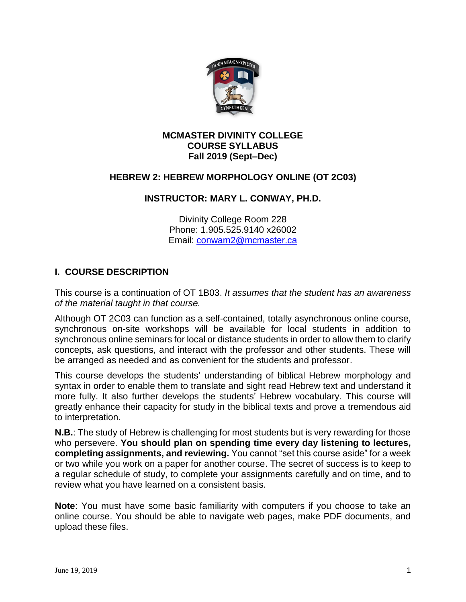

#### **MCMASTER DIVINITY COLLEGE COURSE SYLLABUS Fall 2019 (Sept–Dec)**

#### **HEBREW 2: HEBREW MORPHOLOGY ONLINE (OT 2C03)**

## **INSTRUCTOR: MARY L. CONWAY, PH.D.**

Divinity College Room 228 Phone: 1.905.525.9140 x26002 Email: [conwam2@mcmaster.ca](mailto:conwam2@mcmaster.ca)

## **I. COURSE DESCRIPTION**

This course is a continuation of OT 1B03. *It assumes that the student has an awareness of the material taught in that course.*

Although OT 2C03 can function as a self-contained, totally asynchronous online course, synchronous on-site workshops will be available for local students in addition to synchronous online seminars for local or distance students in order to allow them to clarify concepts, ask questions, and interact with the professor and other students. These will be arranged as needed and as convenient for the students and professor.

This course develops the students' understanding of biblical Hebrew morphology and syntax in order to enable them to translate and sight read Hebrew text and understand it more fully. It also further develops the students' Hebrew vocabulary. This course will greatly enhance their capacity for study in the biblical texts and prove a tremendous aid to interpretation.

**N.B.**: The study of Hebrew is challenging for most students but is very rewarding for those who persevere. **You should plan on spending time every day listening to lectures, completing assignments, and reviewing.** You cannot "set this course aside" for a week or two while you work on a paper for another course. The secret of success is to keep to a regular schedule of study, to complete your assignments carefully and on time, and to review what you have learned on a consistent basis.

**Note**: You must have some basic familiarity with computers if you choose to take an online course. You should be able to navigate web pages, make PDF documents, and upload these files.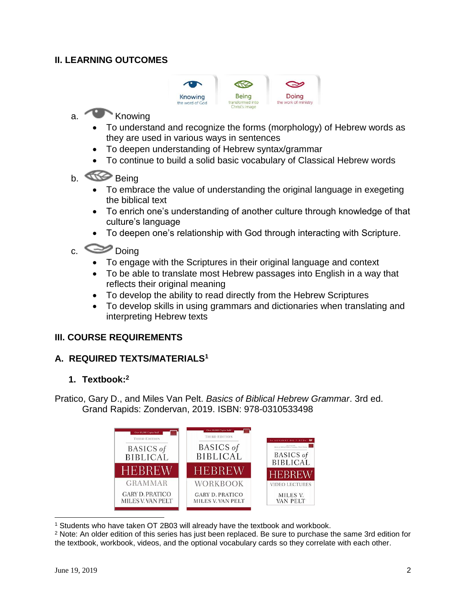## **II. LEARNING OUTCOMES**



# a. Knowing

- To understand and recognize the forms (morphology) of Hebrew words as they are used in various ways in sentences
- To deepen understanding of Hebrew syntax/grammar
- To continue to build a solid basic vocabulary of Classical Hebrew words
- b. Being
	- To embrace the value of understanding the original language in exegeting the biblical text
	- To enrich one's understanding of another culture through knowledge of that culture's language
	- To deepen one's relationship with God through interacting with Scripture.
- c.  $\bullet$  Doing
	- To engage with the Scriptures in their original language and context
	- To be able to translate most Hebrew passages into English in a way that reflects their original meaning
	- To develop the ability to read directly from the Hebrew Scriptures
	- To develop skills in using grammars and dictionaries when translating and interpreting Hebrew texts

## **III. COURSE REQUIREMENTS**

## **A. REQUIRED TEXTS/MATERIALS<sup>1</sup>**

## **1. Textbook:<sup>2</sup>**

Pratico, Gary D., and Miles Van Pelt. *Basics of Biblical Hebrew Grammar*. 3rd ed. Grand Rapids: Zondervan, 2019. ISBN: 978-0310533498



l <sup>1</sup> Students who have taken OT 2B03 will already have the textbook and workbook.

<sup>2</sup> Note: An older edition of this series has just been replaced. Be sure to purchase the same 3rd edition for the textbook, workbook, videos, and the optional vocabulary cards so they correlate with each other.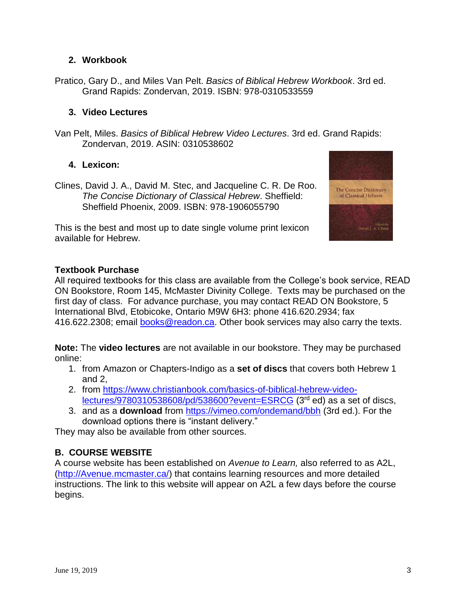## **2. Workbook**

Pratico, Gary D., and Miles Van Pelt. *Basics of Biblical Hebrew Workbook*. 3rd ed. Grand Rapids: Zondervan, 2019. ISBN: 978-0310533559

#### **3. Video Lectures**

Van Pelt, Miles. *Basics of Biblical Hebrew Video Lectures*. 3rd ed. Grand Rapids: Zondervan, 2019. ASIN: 0310538602

## **4. Lexicon:**

Clines, David J. A., David M. Stec, and Jacqueline C. R. De Roo. *The Concise Dictionary of Classical Hebrew*. Sheffield: Sheffield Phoenix, 2009. ISBN: 978-1906055790

This is the best and most up to date single volume print lexicon available for Hebrew.



## **Textbook Purchase**

All required textbooks for this class are available from the College's book service, READ ON Bookstore, Room 145, McMaster Divinity College. Texts may be purchased on the first day of class. For advance purchase, you may contact READ ON Bookstore, 5 International Blvd, Etobicoke, Ontario M9W 6H3: phone 416.620.2934; fax 416.622.2308; email [books@readon.ca.](mailto:books@readon.ca) Other book services may also carry the texts.

**Note:** The **video lectures** are not available in our bookstore. They may be purchased online:

- 1. from Amazon or Chapters-Indigo as a **set of discs** that covers both Hebrew 1 and 2,
- 2. from [https://www.christianbook.com/basics-of-biblical-hebrew-video](https://www.christianbook.com/basics-of-biblical-hebrew-video-lectures/9780310538608/pd/538600?event=ESRCG)[lectures/9780310538608/pd/538600?event=ESRCG](https://www.christianbook.com/basics-of-biblical-hebrew-video-lectures/9780310538608/pd/538600?event=ESRCG) (3rd ed) as a set of discs,
- 3. and as a **download** from <https://vimeo.com/ondemand/bbh> (3rd ed.). For the download options there is "instant delivery."

They may also be available from other sources.

# **B. COURSE WEBSITE**

A course website has been established on *Avenue to Learn,* also referred to as A2L, [\(http://Avenue.mcmaster.ca/\)](http://avenue.mcmaster.ca/) that contains learning resources and more detailed instructions. The link to this website will appear on A2L a few days before the course begins.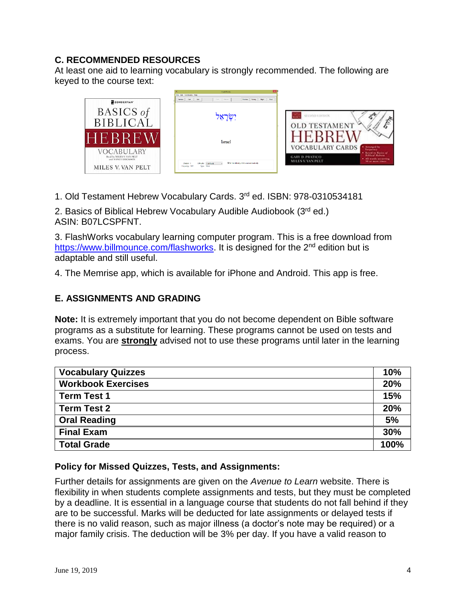## **C. RECOMMENDED RESOURCES**

At least one aid to learning vocabulary is strongly recommended. The following are keyed to the course text:



1. Old Testament Hebrew Vocabulary Cards. 3 rd ed. ISBN: 978-0310534181

2. Basics of Biblical Hebrew Vocabulary Audible Audiobook (3rd ed.) ASIN: B07LCSPFNT.

3. FlashWorks vocabulary learning computer program. This is a free download from [https://www.billmounce.com/flashworks.](https://www.billmounce.com/flashworks) It is designed for the 2<sup>nd</sup> edition but is adaptable and still useful.

4. The Memrise app, which is available for iPhone and Android. This app is free.

## **E. ASSIGNMENTS AND GRADING**

**Note:** It is extremely important that you do not become dependent on Bible software programs as a substitute for learning. These programs cannot be used on tests and exams. You are **strongly** advised not to use these programs until later in the learning process.

| <b>Vocabulary Quizzes</b> | 10%  |
|---------------------------|------|
| <b>Workbook Exercises</b> | 20%  |
| <b>Term Test 1</b>        | 15%  |
| <b>Term Test 2</b>        | 20%  |
| <b>Oral Reading</b>       | 5%   |
| <b>Final Exam</b>         | 30%  |
| <b>Total Grade</b>        | 100% |

## **Policy for Missed Quizzes, Tests, and Assignments:**

Further details for assignments are given on the *Avenue to Learn* website. There is flexibility in when students complete assignments and tests, but they must be completed by a deadline. It is essential in a language course that students do not fall behind if they are to be successful. Marks will be deducted for late assignments or delayed tests if there is no valid reason, such as major illness (a doctor's note may be required) or a major family crisis. The deduction will be 3% per day. If you have a valid reason to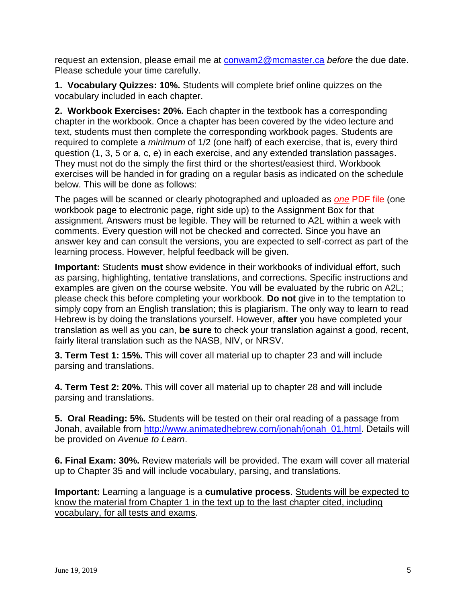request an extension, please email me at [conwam2@mcmaster.ca](mailto:conwam2@mcmaster.ca) *before* the due date. Please schedule your time carefully.

**1. Vocabulary Quizzes: 10%.** Students will complete brief online quizzes on the vocabulary included in each chapter.

**2. Workbook Exercises: 20%.** Each chapter in the textbook has a corresponding chapter in the workbook. Once a chapter has been covered by the video lecture and text, students must then complete the corresponding workbook pages. Students are required to complete a *minimum* of 1/2 (one half) of each exercise, that is, every third question (1, 3, 5 or a, c, e) in each exercise, and any extended translation passages. They must not do the simply the first third or the shortest/easiest third. Workbook exercises will be handed in for grading on a regular basis as indicated on the schedule below. This will be done as follows:

The pages will be scanned or clearly photographed and uploaded as *one* PDF file (one workbook page to electronic page, right side up) to the Assignment Box for that assignment. Answers must be legible. They will be returned to A2L within a week with comments. Every question will not be checked and corrected. Since you have an answer key and can consult the versions, you are expected to self-correct as part of the learning process. However, helpful feedback will be given.

**Important:** Students **must** show evidence in their workbooks of individual effort, such as parsing, highlighting, tentative translations, and corrections. Specific instructions and examples are given on the course website. You will be evaluated by the rubric on A2L; please check this before completing your workbook. **Do not** give in to the temptation to simply copy from an English translation; this is plagiarism. The only way to learn to read Hebrew is by doing the translations yourself. However, **after** you have completed your translation as well as you can, **be sure** to check your translation against a good, recent, fairly literal translation such as the NASB, NIV, or NRSV.

**3. Term Test 1: 15%.** This will cover all material up to chapter 23 and will include parsing and translations.

**4. Term Test 2: 20%.** This will cover all material up to chapter 28 and will include parsing and translations.

**5. Oral Reading: 5%.** Students will be tested on their oral reading of a passage from Jonah, available from [http://www.animatedhebrew.com/jonah/jonah\\_01.html.](http://www.animatedhebrew.com/jonah/jonah_01.html) Details will be provided on *Avenue to Learn*.

**6. Final Exam: 30%.** Review materials will be provided. The exam will cover all material up to Chapter 35 and will include vocabulary, parsing, and translations.

**Important:** Learning a language is a **cumulative process**. Students will be expected to know the material from Chapter 1 in the text up to the last chapter cited, including vocabulary, for all tests and exams.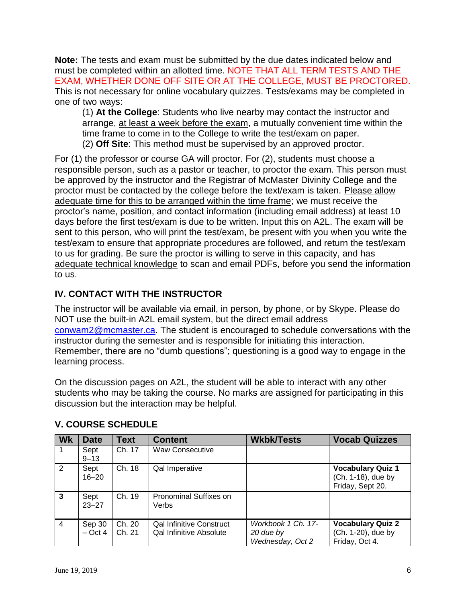**Note:** The tests and exam must be submitted by the due dates indicated below and must be completed within an allotted time. NOTE THAT ALL TERM TESTS AND THE EXAM, WHETHER DONE OFF SITE OR AT THE COLLEGE, MUST BE PROCTORED. This is not necessary for online vocabulary quizzes. Tests/exams may be completed in one of two ways:

(1) **At the College**: Students who live nearby may contact the instructor and arrange, at least a week before the exam, a mutually convenient time within the time frame to come in to the College to write the test/exam on paper. (2) **Off Site**: This method must be supervised by an approved proctor.

For (1) the professor or course GA will proctor. For (2), students must choose a responsible person, such as a pastor or teacher, to proctor the exam. This person must be approved by the instructor and the Registrar of McMaster Divinity College and the proctor must be contacted by the college before the text/exam is taken. Please allow adequate time for this to be arranged within the time frame; we must receive the proctor's name, position, and contact information (including email address) at least 10 days before the first test/exam is due to be written. Input this on A2L. The exam will be sent to this person, who will print the test/exam, be present with you when you write the test/exam to ensure that appropriate procedures are followed, and return the test/exam to us for grading. Be sure the proctor is willing to serve in this capacity, and has adequate technical knowledge to scan and email PDFs, before you send the information to us.

# **IV. CONTACT WITH THE INSTRUCTOR**

The instructor will be available via email, in person, by phone, or by Skype. Please do NOT use the built-in A2L email system, but the direct email address [conwam2@mcmaster.ca.](mailto:conwam2@mcmaster.ca) The student is encouraged to schedule conversations with the instructor during the semester and is responsible for initiating this interaction. Remember, there are no "dumb questions"; questioning is a good way to engage in the learning process.

On the discussion pages on A2L, the student will be able to interact with any other students who may be taking the course. No marks are assigned for participating in this discussion but the interaction may be helpful.

| <b>Wk</b>      | <b>Date</b>         | <b>Text</b>      | <b>Content</b>                                                    | <b>Wkbk/Tests</b>                                   | <b>Vocab Quizzes</b>                                               |
|----------------|---------------------|------------------|-------------------------------------------------------------------|-----------------------------------------------------|--------------------------------------------------------------------|
|                | Sept<br>$9 - 13$    | Ch. 17           | <b>Waw Consecutive</b>                                            |                                                     |                                                                    |
| 2              | Sept<br>$16 - 20$   | Ch. 18           | Qal Imperative                                                    |                                                     | <b>Vocabulary Quiz 1</b><br>(Ch. 1-18), due by<br>Friday, Sept 20. |
| $\mathbf{3}$   | Sept<br>$23 - 27$   | Ch. 19           | <b>Pronominal Suffixes on</b><br>Verbs                            |                                                     |                                                                    |
| $\overline{4}$ | Sep 30<br>$-$ Oct 4 | Ch. 20<br>Ch. 21 | <b>Qal Infinitive Construct</b><br><b>Qal Infinitive Absolute</b> | Workbook 1 Ch. 17-<br>20 due by<br>Wednesday, Oct 2 | <b>Vocabulary Quiz 2</b><br>(Ch. 1-20), due by<br>Friday, Oct 4.   |

## **V. COURSE SCHEDULE**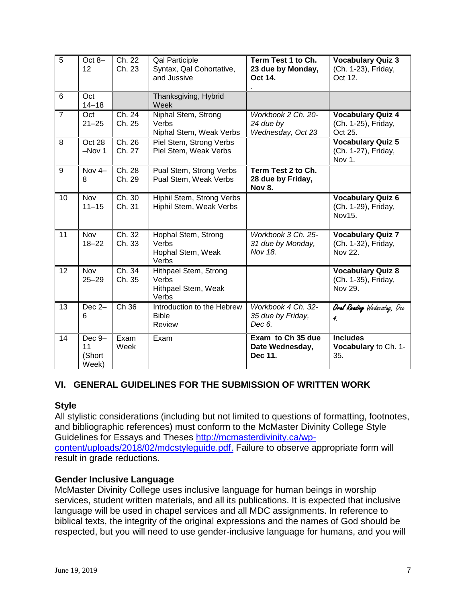| 5              | Oct 8-<br>12                    | Ch. 22<br>Ch. 23               | <b>Qal Participle</b><br>Syntax, Qal Cohortative,<br>and Jussive | Term Test 1 to Ch.<br>23 due by Monday,<br>Oct 14.       | <b>Vocabulary Quiz 3</b><br>(Ch. 1-23), Friday,<br>Oct 12. |
|----------------|---------------------------------|--------------------------------|------------------------------------------------------------------|----------------------------------------------------------|------------------------------------------------------------|
| 6              | Oct<br>$14 - 18$                |                                | Thanksgiving, Hybrid<br>Week                                     |                                                          |                                                            |
| $\overline{7}$ | Oct<br>$21 - 25$                | Ch. 24<br>Ch. 25               | Niphal Stem, Strong<br>Verbs<br>Niphal Stem, Weak Verbs          | Workbook 2 Ch. 20-<br>24 due by<br>Wednesday, Oct 23     | <b>Vocabulary Quiz 4</b><br>(Ch. 1-25), Friday,<br>Oct 25. |
| 8              | Oct 28<br>$-Nov1$               | Ch. 26<br>Ch. 27               | Piel Stem, Strong Verbs<br>Piel Stem, Weak Verbs                 |                                                          | <b>Vocabulary Quiz 5</b><br>(Ch. 1-27), Friday,<br>Nov 1.  |
| 9              | Nov $4-$<br>8                   | $\overline{Ch}$ . 28<br>Ch. 29 | Pual Stem, Strong Verbs<br>Pual Stem, Weak Verbs                 | Term Test 2 to Ch.<br>28 due by Friday,<br><b>Nov 8.</b> |                                                            |
| 10             | Nov<br>$11 - 15$                | Ch. 30<br>Ch. 31               | Hiphil Stem, Strong Verbs<br>Hiphil Stem, Weak Verbs             |                                                          | <b>Vocabulary Quiz 6</b><br>(Ch. 1-29), Friday,<br>Nov15.  |
| 11             | Nov<br>$18 - 22$                | Ch. 32<br>Ch. 33               | Hophal Stem, Strong<br>Verbs<br>Hophal Stem, Weak<br>Verbs       | Workbook 3 Ch. 25-<br>31 due by Monday,<br>Nov 18.       | <b>Vocabulary Quiz 7</b><br>(Ch. 1-32), Friday,<br>Nov 22. |
| 12             | <b>Nov</b><br>$25 - 29$         | Ch. 34<br>Ch. 35               | Hithpael Stem, Strong<br>Verbs<br>Hithpael Stem, Weak<br>Verbs   |                                                          | <b>Vocabulary Quiz 8</b><br>(Ch. 1-35), Friday,<br>Nov 29. |
| 13             | Dec 2-<br>6                     | Ch 36                          | Introduction to the Hebrew<br><b>Bible</b><br>Review             | Workbook 4 Ch. 32-<br>35 due by Friday,<br>Dec 6.        | Oral Reading Wednesday, Dec<br>$\boldsymbol{4}$            |
| 14             | Dec 9-<br>11<br>(Short<br>Week) | Exam<br>Week                   | Exam                                                             | Exam to Ch 35 due<br>Date Wednesday,<br>Dec 11.          | <b>Includes</b><br>Vocabulary to Ch. 1-<br>35.             |

## **VI. GENERAL GUIDELINES FOR THE SUBMISSION OF WRITTEN WORK**

#### **Style**

All stylistic considerations (including but not limited to questions of formatting, footnotes, and bibliographic references) must conform to the McMaster Divinity College Style Guidelines for Essays and Theses [http://mcmasterdivinity.ca/wp](http://mcmasterdivinity.ca/wp-content/uploads/2018/02/mdcstyleguide.pdf)[content/uploads/2018/02/mdcstyleguide.pdf.](http://mcmasterdivinity.ca/wp-content/uploads/2018/02/mdcstyleguide.pdf) Failure to observe appropriate form will result in grade reductions.

#### **Gender Inclusive Language**

McMaster Divinity College uses inclusive language for human beings in worship services, student written materials, and all its publications. It is expected that inclusive language will be used in chapel services and all MDC assignments. In reference to biblical texts, the integrity of the original expressions and the names of God should be respected, but you will need to use gender-inclusive language for humans, and you will